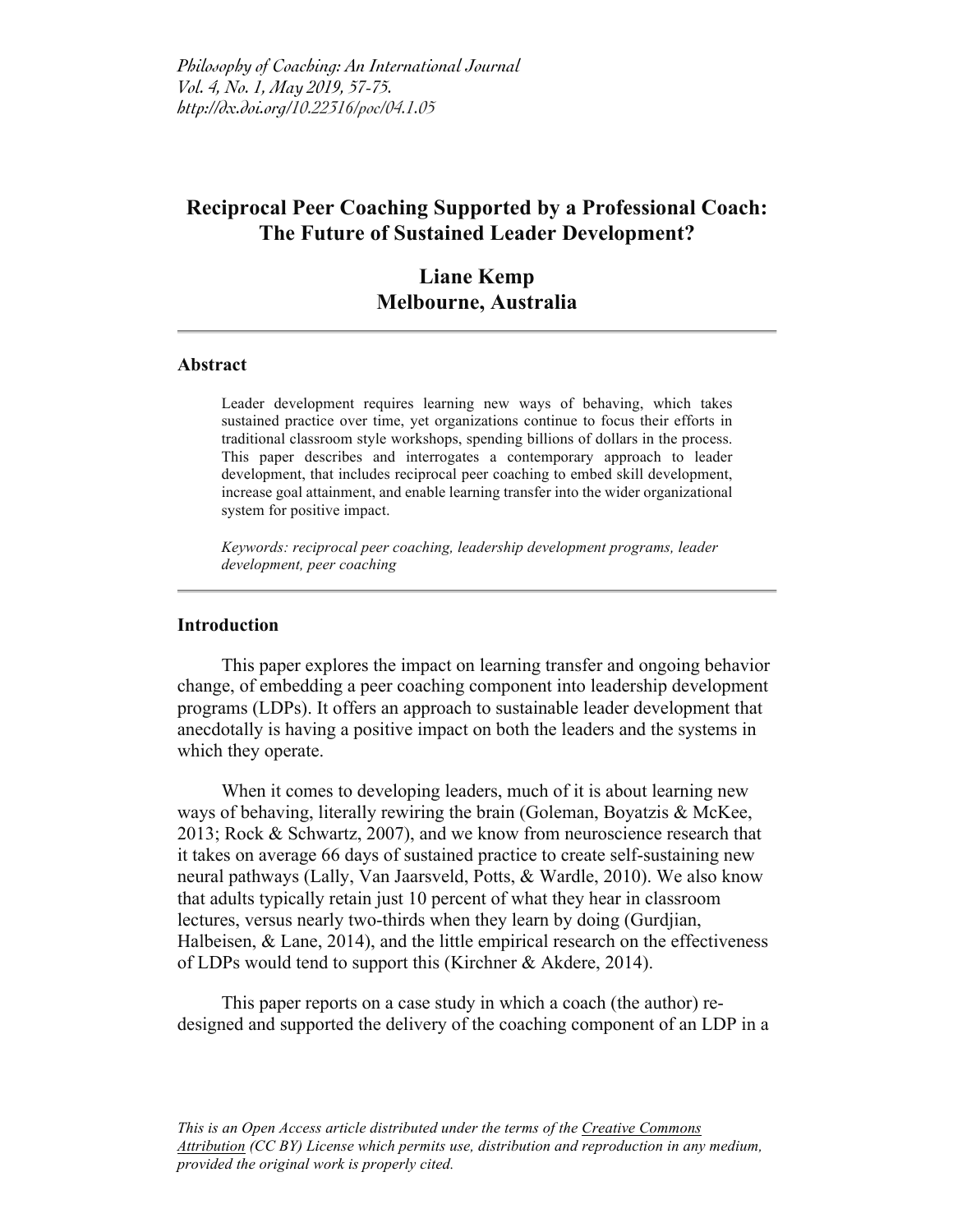# **Reciprocal Peer Coaching Supported by a Professional Coach: The Future of Sustained Leader Development?**

# **Liane Kemp Melbourne, Australia**

### **Abstract**

Leader development requires learning new ways of behaving, which takes sustained practice over time, yet organizations continue to focus their efforts in traditional classroom style workshops, spending billions of dollars in the process. This paper describes and interrogates a contemporary approach to leader development, that includes reciprocal peer coaching to embed skill development, increase goal attainment, and enable learning transfer into the wider organizational system for positive impact.

*Keywords: reciprocal peer coaching, leadership development programs, leader development, peer coaching*

# **Introduction**

This paper explores the impact on learning transfer and ongoing behavior change, of embedding a peer coaching component into leadership development programs (LDPs). It offers an approach to sustainable leader development that anecdotally is having a positive impact on both the leaders and the systems in which they operate.

When it comes to developing leaders, much of it is about learning new ways of behaving, literally rewiring the brain (Goleman, Boyatzis & McKee, 2013; Rock & Schwartz, 2007), and we know from neuroscience research that it takes on average 66 days of sustained practice to create self-sustaining new neural pathways (Lally, Van Jaarsveld, Potts, & Wardle, 2010). We also know that adults typically retain just 10 percent of what they hear in classroom lectures, versus nearly two-thirds when they learn by doing (Gurdjian, Halbeisen, & Lane, 2014), and the little empirical research on the effectiveness of LDPs would tend to support this (Kirchner & Akdere, 2014).

This paper reports on a case study in which a coach (the author) redesigned and supported the delivery of the coaching component of an LDP in a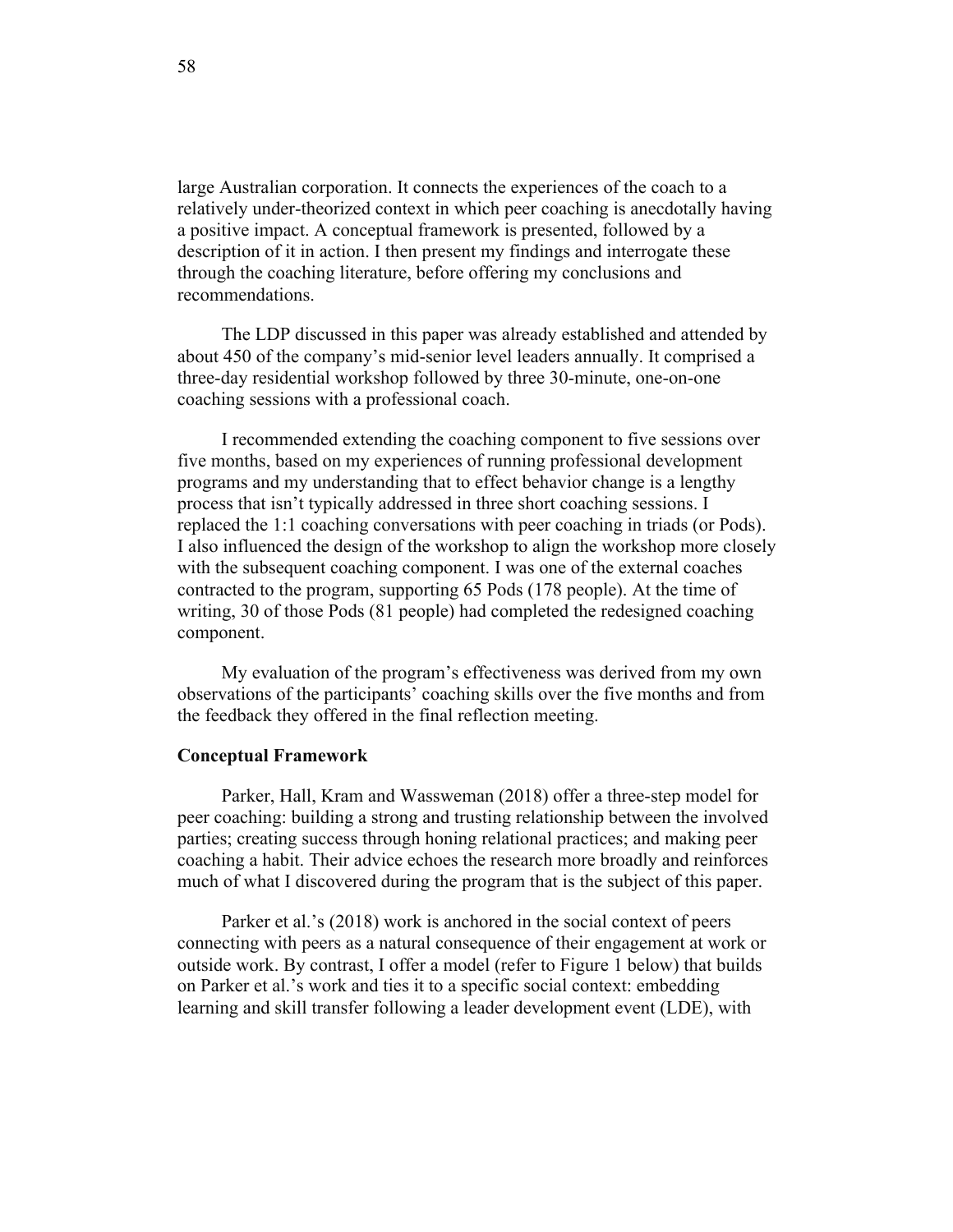large Australian corporation. It connects the experiences of the coach to a relatively under-theorized context in which peer coaching is anecdotally having a positive impact. A conceptual framework is presented, followed by a description of it in action. I then present my findings and interrogate these through the coaching literature, before offering my conclusions and recommendations.

The LDP discussed in this paper was already established and attended by about 450 of the company's mid-senior level leaders annually. It comprised a three-day residential workshop followed by three 30-minute, one-on-one coaching sessions with a professional coach.

I recommended extending the coaching component to five sessions over five months, based on my experiences of running professional development programs and my understanding that to effect behavior change is a lengthy process that isn't typically addressed in three short coaching sessions. I replaced the 1:1 coaching conversations with peer coaching in triads (or Pods). I also influenced the design of the workshop to align the workshop more closely with the subsequent coaching component. I was one of the external coaches contracted to the program, supporting 65 Pods (178 people). At the time of writing, 30 of those Pods (81 people) had completed the redesigned coaching component.

My evaluation of the program's effectiveness was derived from my own observations of the participants' coaching skills over the five months and from the feedback they offered in the final reflection meeting.

#### **Conceptual Framework**

Parker, Hall, Kram and Wassweman (2018) offer a three-step model for peer coaching: building a strong and trusting relationship between the involved parties; creating success through honing relational practices; and making peer coaching a habit. Their advice echoes the research more broadly and reinforces much of what I discovered during the program that is the subject of this paper.

Parker et al.'s (2018) work is anchored in the social context of peers connecting with peers as a natural consequence of their engagement at work or outside work. By contrast, I offer a model (refer to Figure 1 below) that builds on Parker et al.'s work and ties it to a specific social context: embedding learning and skill transfer following a leader development event (LDE), with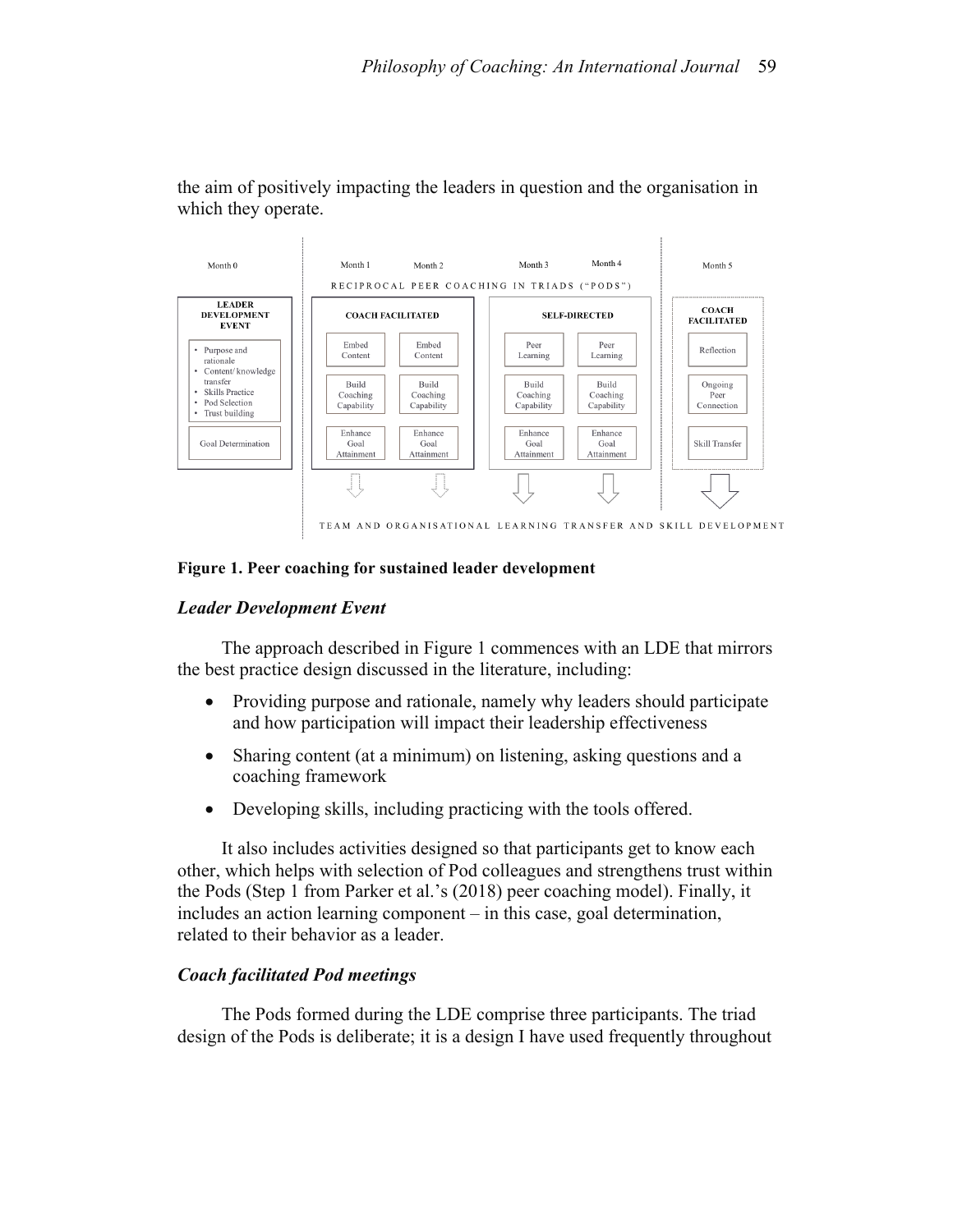

the aim of positively impacting the leaders in question and the organisation in which they operate.

### **Figure 1. Peer coaching for sustained leader development**

# *Leader Development Event*

The approach described in Figure 1 commences with an LDE that mirrors the best practice design discussed in the literature, including:

- Providing purpose and rationale, namely why leaders should participate and how participation will impact their leadership effectiveness
- Sharing content (at a minimum) on listening, asking questions and a coaching framework
- Developing skills, including practicing with the tools offered.

It also includes activities designed so that participants get to know each other, which helps with selection of Pod colleagues and strengthens trust within the Pods (Step 1 from Parker et al.'s (2018) peer coaching model). Finally, it includes an action learning component – in this case, goal determination, related to their behavior as a leader.

# *Coach facilitated Pod meetings*

The Pods formed during the LDE comprise three participants. The triad design of the Pods is deliberate; it is a design I have used frequently throughout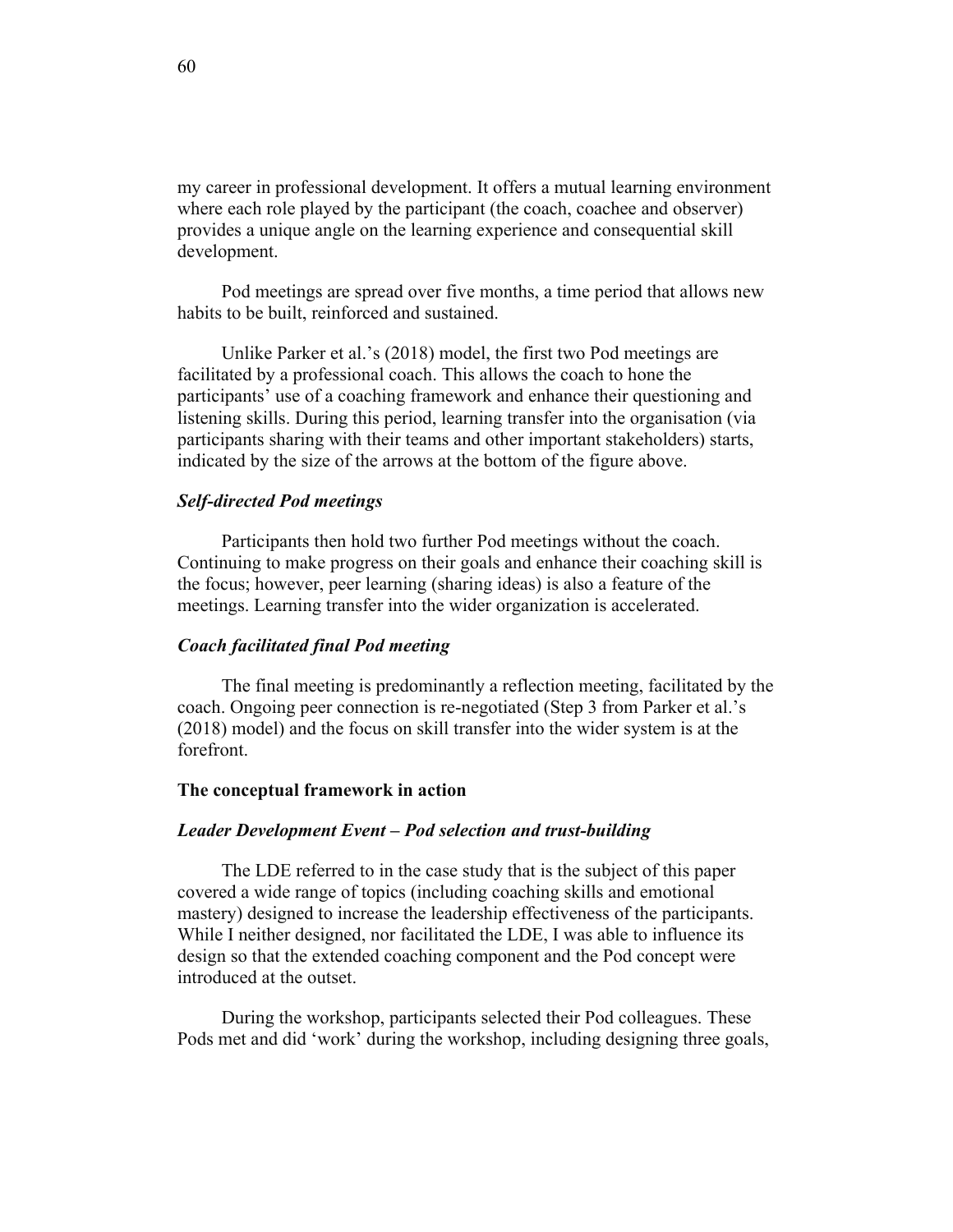my career in professional development. It offers a mutual learning environment where each role played by the participant (the coach, coachee and observer) provides a unique angle on the learning experience and consequential skill development.

Pod meetings are spread over five months, a time period that allows new habits to be built, reinforced and sustained.

Unlike Parker et al.'s (2018) model, the first two Pod meetings are facilitated by a professional coach. This allows the coach to hone the participants' use of a coaching framework and enhance their questioning and listening skills. During this period, learning transfer into the organisation (via participants sharing with their teams and other important stakeholders) starts, indicated by the size of the arrows at the bottom of the figure above.

### *Self-directed Pod meetings*

Participants then hold two further Pod meetings without the coach. Continuing to make progress on their goals and enhance their coaching skill is the focus; however, peer learning (sharing ideas) is also a feature of the meetings. Learning transfer into the wider organization is accelerated.

### *Coach facilitated final Pod meeting*

The final meeting is predominantly a reflection meeting, facilitated by the coach. Ongoing peer connection is re-negotiated (Step 3 from Parker et al.'s (2018) model) and the focus on skill transfer into the wider system is at the forefront.

## **The conceptual framework in action**

### *Leader Development Event – Pod selection and trust-building*

The LDE referred to in the case study that is the subject of this paper covered a wide range of topics (including coaching skills and emotional mastery) designed to increase the leadership effectiveness of the participants. While I neither designed, nor facilitated the LDE, I was able to influence its design so that the extended coaching component and the Pod concept were introduced at the outset.

During the workshop, participants selected their Pod colleagues. These Pods met and did 'work' during the workshop, including designing three goals,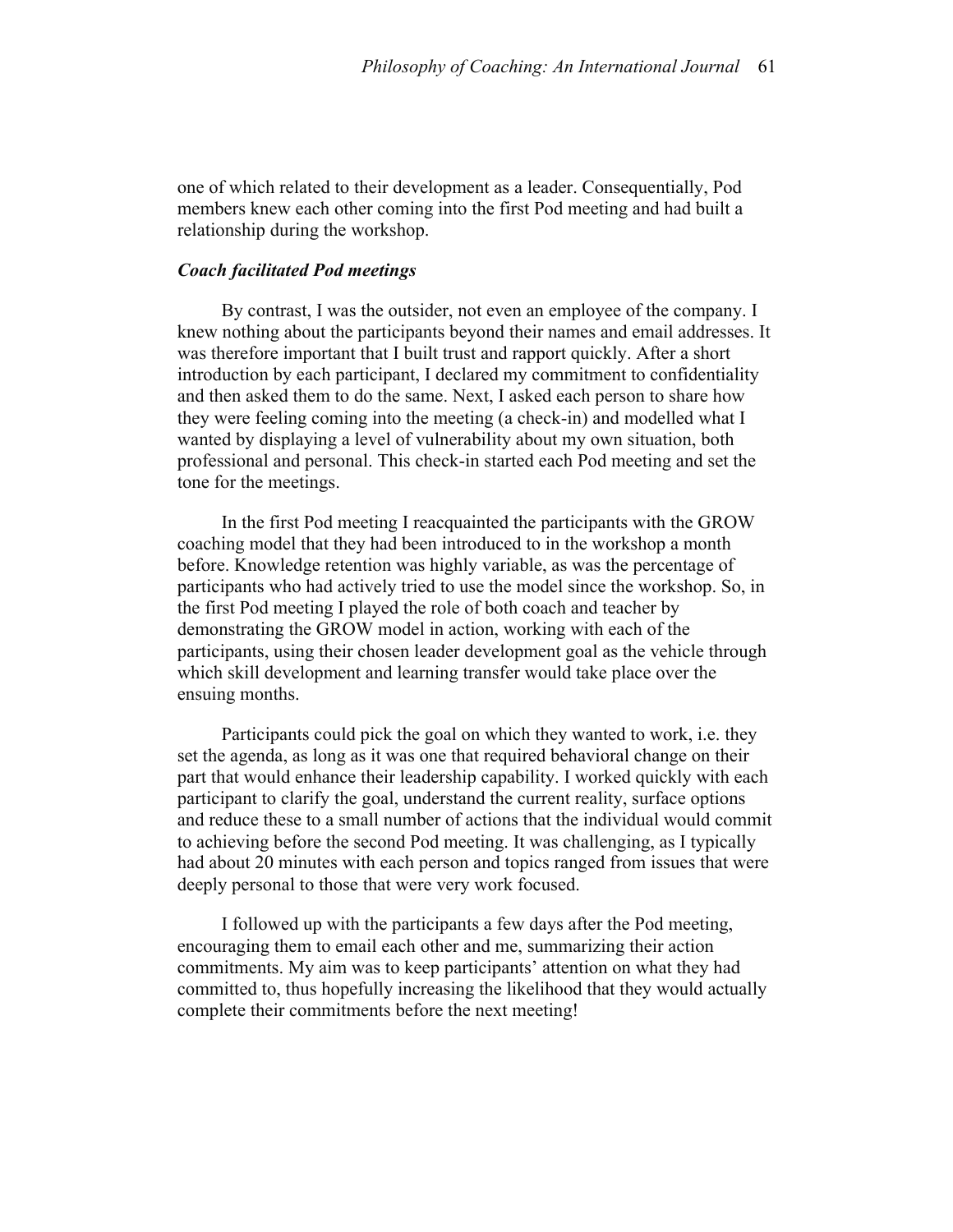one of which related to their development as a leader. Consequentially, Pod members knew each other coming into the first Pod meeting and had built a relationship during the workshop.

### *Coach facilitated Pod meetings*

By contrast, I was the outsider, not even an employee of the company. I knew nothing about the participants beyond their names and email addresses. It was therefore important that I built trust and rapport quickly. After a short introduction by each participant, I declared my commitment to confidentiality and then asked them to do the same. Next, I asked each person to share how they were feeling coming into the meeting (a check-in) and modelled what I wanted by displaying a level of vulnerability about my own situation, both professional and personal. This check-in started each Pod meeting and set the tone for the meetings.

In the first Pod meeting I reacquainted the participants with the GROW coaching model that they had been introduced to in the workshop a month before. Knowledge retention was highly variable, as was the percentage of participants who had actively tried to use the model since the workshop. So, in the first Pod meeting I played the role of both coach and teacher by demonstrating the GROW model in action, working with each of the participants, using their chosen leader development goal as the vehicle through which skill development and learning transfer would take place over the ensuing months.

Participants could pick the goal on which they wanted to work, i.e. they set the agenda, as long as it was one that required behavioral change on their part that would enhance their leadership capability. I worked quickly with each participant to clarify the goal, understand the current reality, surface options and reduce these to a small number of actions that the individual would commit to achieving before the second Pod meeting. It was challenging, as I typically had about 20 minutes with each person and topics ranged from issues that were deeply personal to those that were very work focused.

I followed up with the participants a few days after the Pod meeting, encouraging them to email each other and me, summarizing their action commitments. My aim was to keep participants' attention on what they had committed to, thus hopefully increasing the likelihood that they would actually complete their commitments before the next meeting!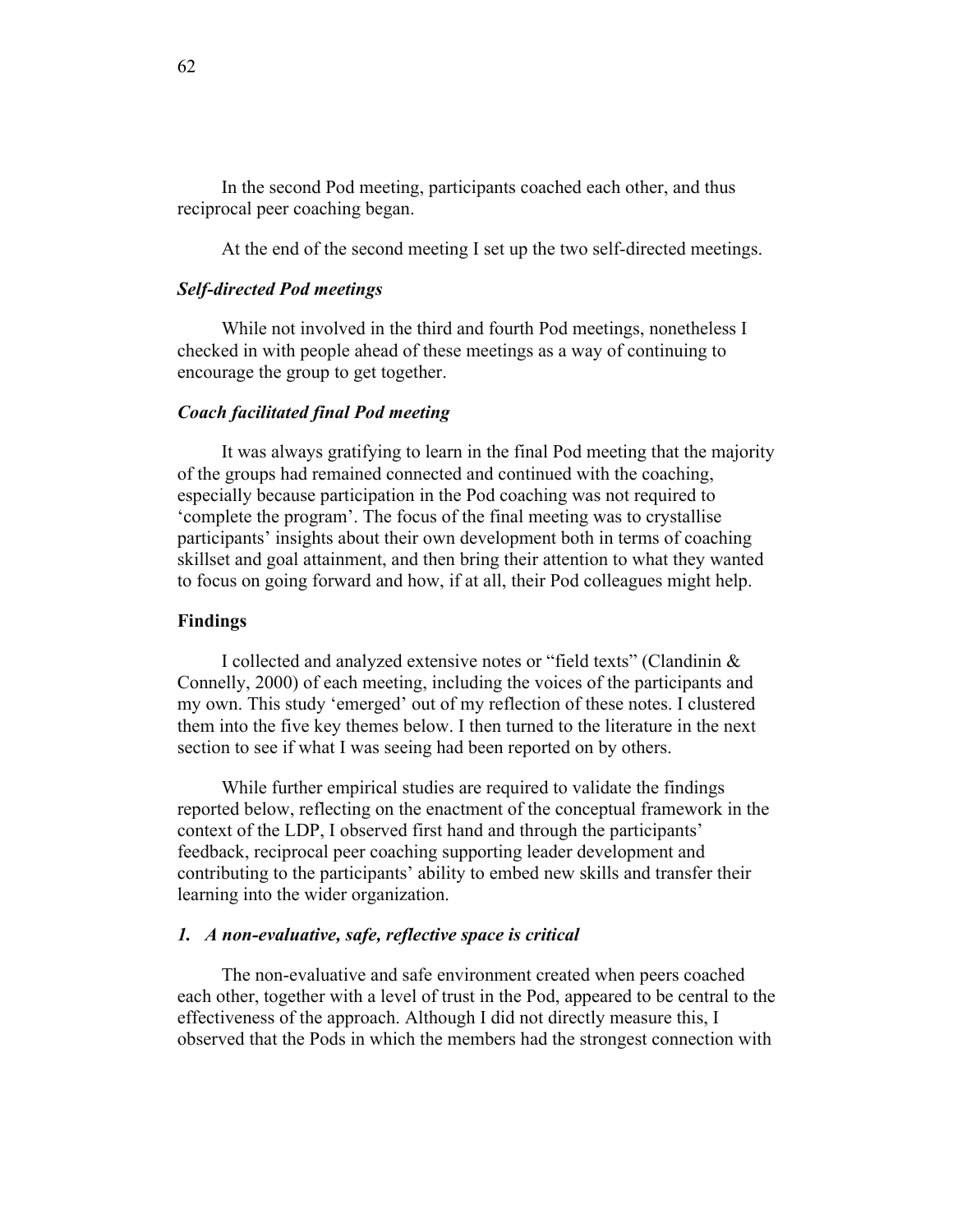In the second Pod meeting, participants coached each other, and thus reciprocal peer coaching began.

At the end of the second meeting I set up the two self-directed meetings.

### *Self-directed Pod meetings*

While not involved in the third and fourth Pod meetings, nonetheless I checked in with people ahead of these meetings as a way of continuing to encourage the group to get together.

# *Coach facilitated final Pod meeting*

It was always gratifying to learn in the final Pod meeting that the majority of the groups had remained connected and continued with the coaching, especially because participation in the Pod coaching was not required to 'complete the program'. The focus of the final meeting was to crystallise participants' insights about their own development both in terms of coaching skillset and goal attainment, and then bring their attention to what they wanted to focus on going forward and how, if at all, their Pod colleagues might help.

#### **Findings**

I collected and analyzed extensive notes or "field texts" (Clandinin & Connelly, 2000) of each meeting, including the voices of the participants and my own. This study 'emerged' out of my reflection of these notes. I clustered them into the five key themes below. I then turned to the literature in the next section to see if what I was seeing had been reported on by others.

While further empirical studies are required to validate the findings reported below, reflecting on the enactment of the conceptual framework in the context of the LDP, I observed first hand and through the participants' feedback, reciprocal peer coaching supporting leader development and contributing to the participants' ability to embed new skills and transfer their learning into the wider organization.

#### *1. A non-evaluative, safe, reflective space is critical*

The non-evaluative and safe environment created when peers coached each other, together with a level of trust in the Pod, appeared to be central to the effectiveness of the approach. Although I did not directly measure this, I observed that the Pods in which the members had the strongest connection with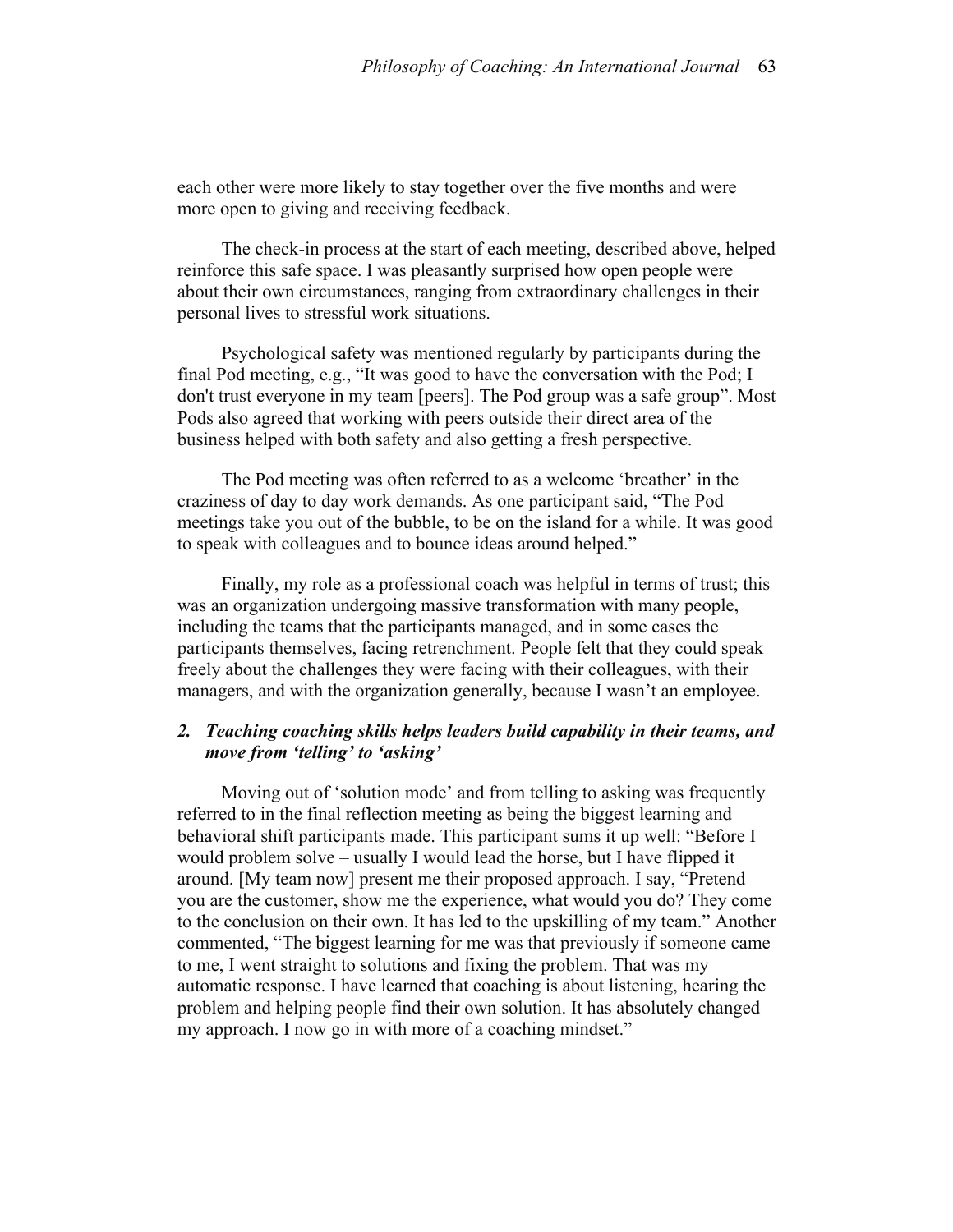each other were more likely to stay together over the five months and were more open to giving and receiving feedback.

The check-in process at the start of each meeting, described above, helped reinforce this safe space. I was pleasantly surprised how open people were about their own circumstances, ranging from extraordinary challenges in their personal lives to stressful work situations.

Psychological safety was mentioned regularly by participants during the final Pod meeting, e.g., "It was good to have the conversation with the Pod; I don't trust everyone in my team [peers]. The Pod group was a safe group". Most Pods also agreed that working with peers outside their direct area of the business helped with both safety and also getting a fresh perspective.

The Pod meeting was often referred to as a welcome 'breather' in the craziness of day to day work demands. As one participant said, "The Pod meetings take you out of the bubble, to be on the island for a while. It was good to speak with colleagues and to bounce ideas around helped."

Finally, my role as a professional coach was helpful in terms of trust; this was an organization undergoing massive transformation with many people, including the teams that the participants managed, and in some cases the participants themselves, facing retrenchment. People felt that they could speak freely about the challenges they were facing with their colleagues, with their managers, and with the organization generally, because I wasn't an employee.

# *2. Teaching coaching skills helps leaders build capability in their teams, and move from 'telling' to 'asking'*

Moving out of 'solution mode' and from telling to asking was frequently referred to in the final reflection meeting as being the biggest learning and behavioral shift participants made. This participant sums it up well: "Before I would problem solve – usually I would lead the horse, but I have flipped it around. [My team now] present me their proposed approach. I say, "Pretend you are the customer, show me the experience, what would you do? They come to the conclusion on their own. It has led to the upskilling of my team." Another commented, "The biggest learning for me was that previously if someone came to me, I went straight to solutions and fixing the problem. That was my automatic response. I have learned that coaching is about listening, hearing the problem and helping people find their own solution. It has absolutely changed my approach. I now go in with more of a coaching mindset."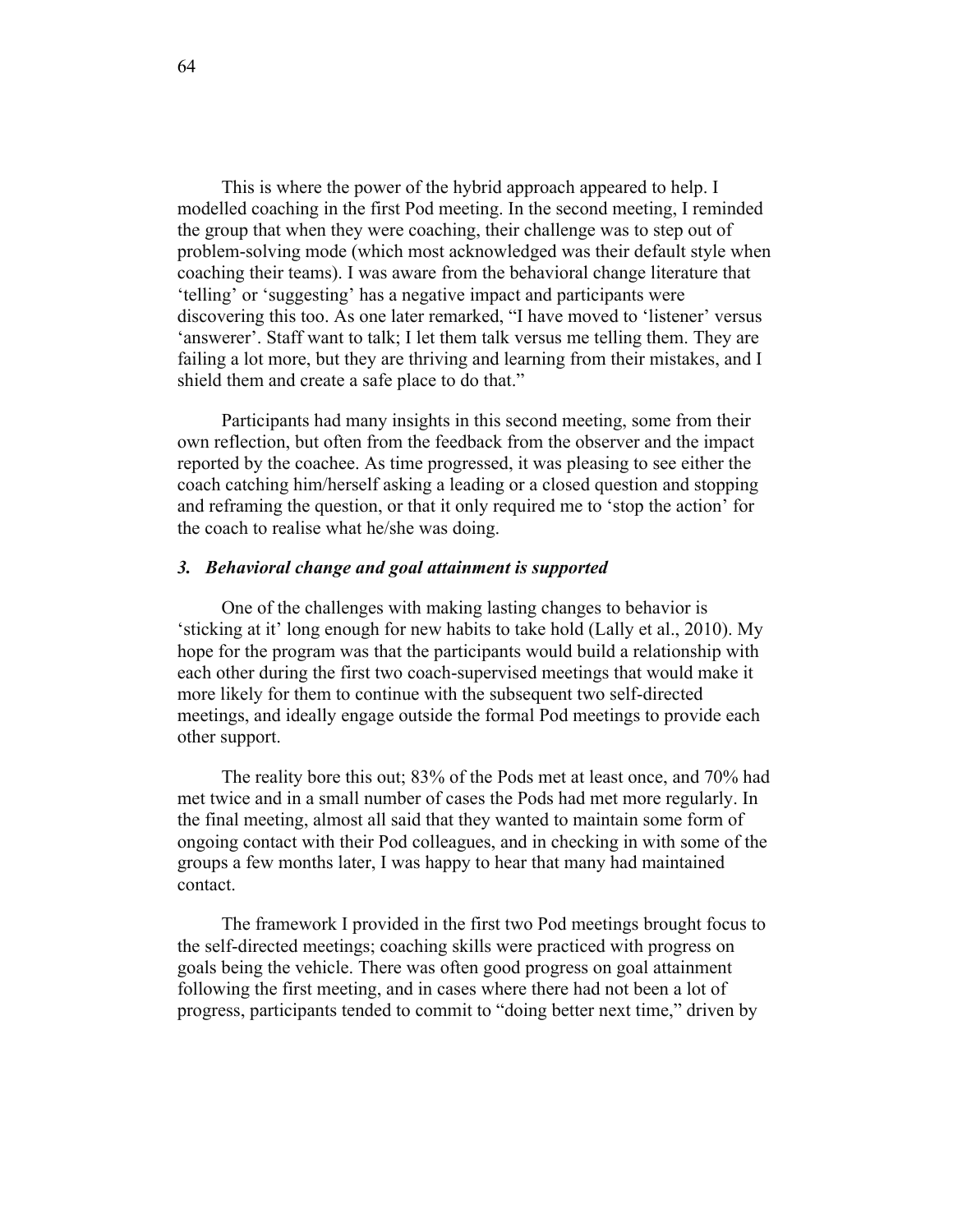This is where the power of the hybrid approach appeared to help. I modelled coaching in the first Pod meeting. In the second meeting, I reminded the group that when they were coaching, their challenge was to step out of problem-solving mode (which most acknowledged was their default style when coaching their teams). I was aware from the behavioral change literature that 'telling' or 'suggesting' has a negative impact and participants were discovering this too. As one later remarked, "I have moved to 'listener' versus 'answerer'. Staff want to talk; I let them talk versus me telling them. They are failing a lot more, but they are thriving and learning from their mistakes, and I shield them and create a safe place to do that."

Participants had many insights in this second meeting, some from their own reflection, but often from the feedback from the observer and the impact reported by the coachee. As time progressed, it was pleasing to see either the coach catching him/herself asking a leading or a closed question and stopping and reframing the question, or that it only required me to 'stop the action' for the coach to realise what he/she was doing.

### *3. Behavioral change and goal attainment is supported*

One of the challenges with making lasting changes to behavior is 'sticking at it' long enough for new habits to take hold (Lally et al., 2010). My hope for the program was that the participants would build a relationship with each other during the first two coach-supervised meetings that would make it more likely for them to continue with the subsequent two self-directed meetings, and ideally engage outside the formal Pod meetings to provide each other support.

The reality bore this out; 83% of the Pods met at least once, and 70% had met twice and in a small number of cases the Pods had met more regularly. In the final meeting, almost all said that they wanted to maintain some form of ongoing contact with their Pod colleagues, and in checking in with some of the groups a few months later, I was happy to hear that many had maintained contact.

The framework I provided in the first two Pod meetings brought focus to the self-directed meetings; coaching skills were practiced with progress on goals being the vehicle. There was often good progress on goal attainment following the first meeting, and in cases where there had not been a lot of progress, participants tended to commit to "doing better next time," driven by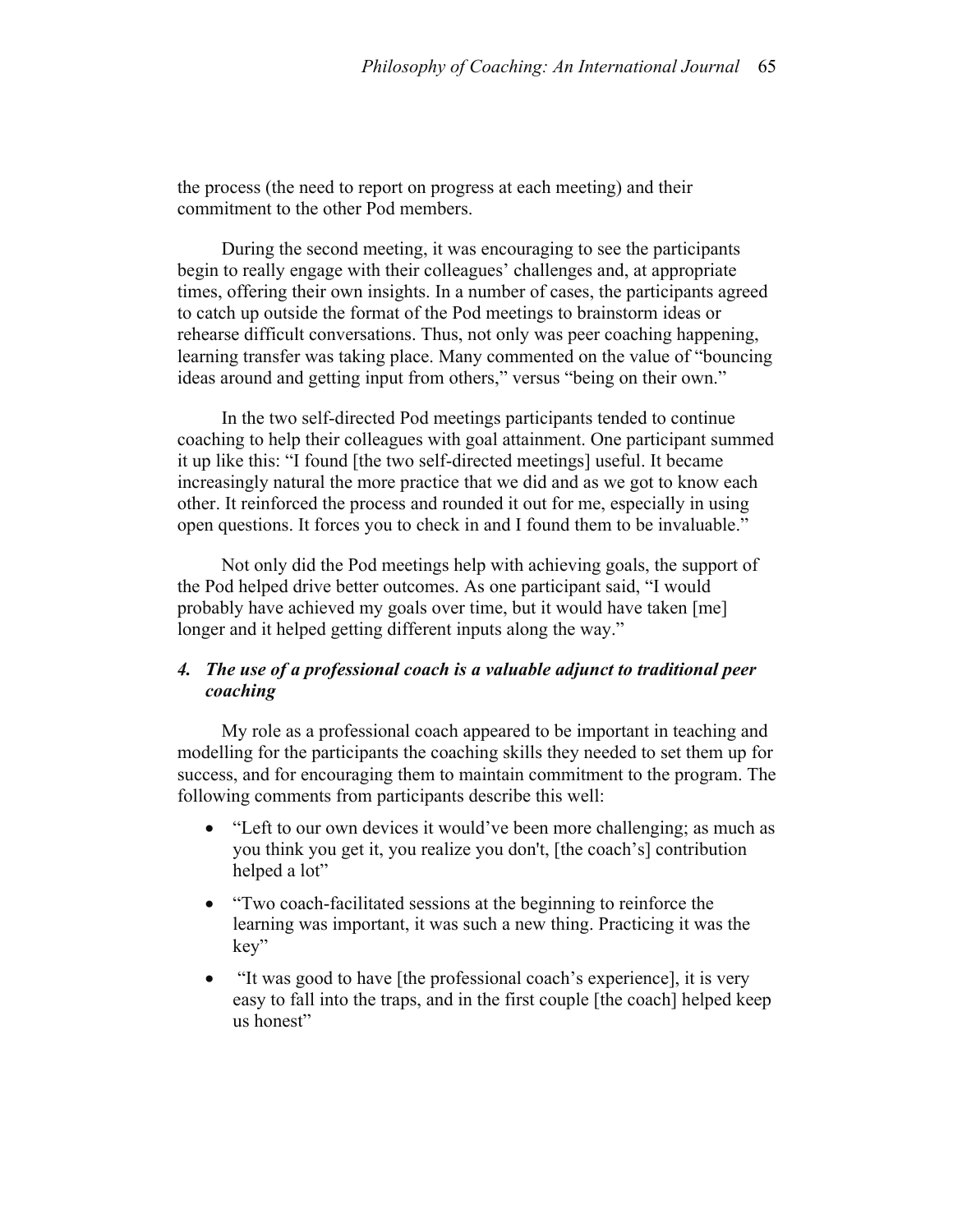the process (the need to report on progress at each meeting) and their commitment to the other Pod members.

During the second meeting, it was encouraging to see the participants begin to really engage with their colleagues' challenges and, at appropriate times, offering their own insights. In a number of cases, the participants agreed to catch up outside the format of the Pod meetings to brainstorm ideas or rehearse difficult conversations. Thus, not only was peer coaching happening, learning transfer was taking place. Many commented on the value of "bouncing ideas around and getting input from others," versus "being on their own."

In the two self-directed Pod meetings participants tended to continue coaching to help their colleagues with goal attainment. One participant summed it up like this: "I found [the two self-directed meetings] useful. It became increasingly natural the more practice that we did and as we got to know each other. It reinforced the process and rounded it out for me, especially in using open questions. It forces you to check in and I found them to be invaluable."

Not only did the Pod meetings help with achieving goals, the support of the Pod helped drive better outcomes. As one participant said, "I would probably have achieved my goals over time, but it would have taken [me] longer and it helped getting different inputs along the way."

# *4. The use of a professional coach is a valuable adjunct to traditional peer coaching*

My role as a professional coach appeared to be important in teaching and modelling for the participants the coaching skills they needed to set them up for success, and for encouraging them to maintain commitment to the program. The following comments from participants describe this well:

- "Left to our own devices it would've been more challenging; as much as you think you get it, you realize you don't, [the coach's] contribution helped a lot"
- "Two coach-facilitated sessions at the beginning to reinforce the learning was important, it was such a new thing. Practicing it was the key"
- "It was good to have [the professional coach's experience], it is very easy to fall into the traps, and in the first couple [the coach] helped keep us honest"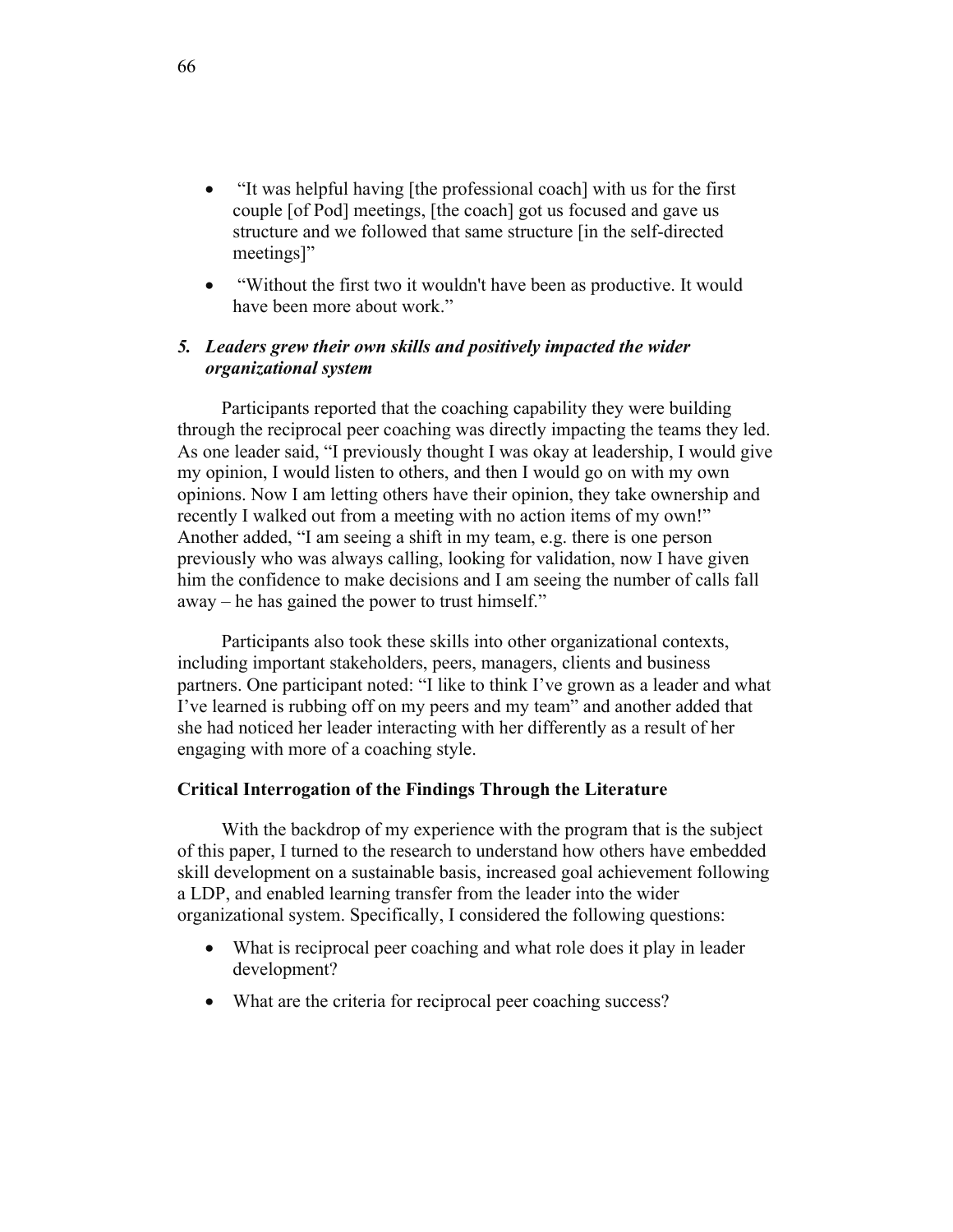- "It was helpful having [the professional coach] with us for the first couple [of Pod] meetings, [the coach] got us focused and gave us structure and we followed that same structure [in the self-directed meetings]"
- "Without the first two it wouldn't have been as productive. It would have been more about work."

# *5. Leaders grew their own skills and positively impacted the wider organizational system*

Participants reported that the coaching capability they were building through the reciprocal peer coaching was directly impacting the teams they led. As one leader said, "I previously thought I was okay at leadership, I would give my opinion, I would listen to others, and then I would go on with my own opinions. Now I am letting others have their opinion, they take ownership and recently I walked out from a meeting with no action items of my own!" Another added, "I am seeing a shift in my team, e.g. there is one person previously who was always calling, looking for validation, now I have given him the confidence to make decisions and I am seeing the number of calls fall away – he has gained the power to trust himself."

Participants also took these skills into other organizational contexts, including important stakeholders, peers, managers, clients and business partners. One participant noted: "I like to think I've grown as a leader and what I've learned is rubbing off on my peers and my team" and another added that she had noticed her leader interacting with her differently as a result of her engaging with more of a coaching style.

## **Critical Interrogation of the Findings Through the Literature**

With the backdrop of my experience with the program that is the subject of this paper, I turned to the research to understand how others have embedded skill development on a sustainable basis, increased goal achievement following a LDP, and enabled learning transfer from the leader into the wider organizational system. Specifically, I considered the following questions:

- What is reciprocal peer coaching and what role does it play in leader development?
- What are the criteria for reciprocal peer coaching success?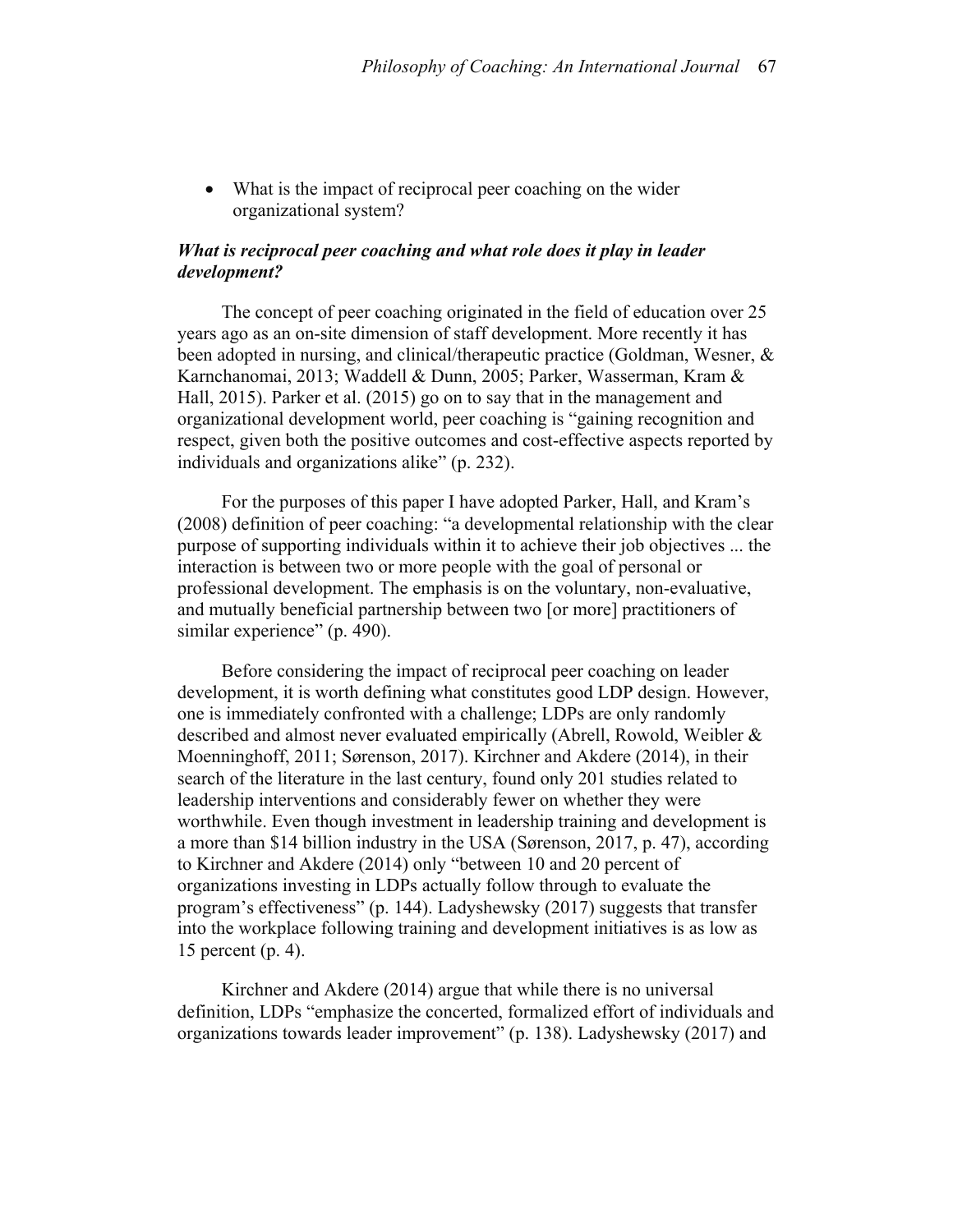• What is the impact of reciprocal peer coaching on the wider organizational system?

# *What is reciprocal peer coaching and what role does it play in leader development?*

The concept of peer coaching originated in the field of education over 25 years ago as an on-site dimension of staff development. More recently it has been adopted in nursing, and clinical/therapeutic practice (Goldman, Wesner, & Karnchanomai, 2013; Waddell & Dunn, 2005; Parker, Wasserman, Kram & Hall, 2015). Parker et al. (2015) go on to say that in the management and organizational development world, peer coaching is "gaining recognition and respect, given both the positive outcomes and cost-effective aspects reported by individuals and organizations alike" (p. 232).

For the purposes of this paper I have adopted Parker, Hall, and Kram's (2008) definition of peer coaching: "a developmental relationship with the clear purpose of supporting individuals within it to achieve their job objectives ... the interaction is between two or more people with the goal of personal or professional development. The emphasis is on the voluntary, non-evaluative, and mutually beneficial partnership between two [or more] practitioners of similar experience" (p. 490).

Before considering the impact of reciprocal peer coaching on leader development, it is worth defining what constitutes good LDP design. However, one is immediately confronted with a challenge; LDPs are only randomly described and almost never evaluated empirically (Abrell, Rowold, Weibler & Moenninghoff, 2011; Sørenson, 2017). Kirchner and Akdere (2014), in their search of the literature in the last century, found only 201 studies related to leadership interventions and considerably fewer on whether they were worthwhile. Even though investment in leadership training and development is a more than \$14 billion industry in the USA (Sørenson, 2017, p. 47), according to Kirchner and Akdere (2014) only "between 10 and 20 percent of organizations investing in LDPs actually follow through to evaluate the program's effectiveness" (p. 144). Ladyshewsky (2017) suggests that transfer into the workplace following training and development initiatives is as low as 15 percent (p. 4).

Kirchner and Akdere (2014) argue that while there is no universal definition, LDPs "emphasize the concerted, formalized effort of individuals and organizations towards leader improvement" (p. 138). Ladyshewsky (2017) and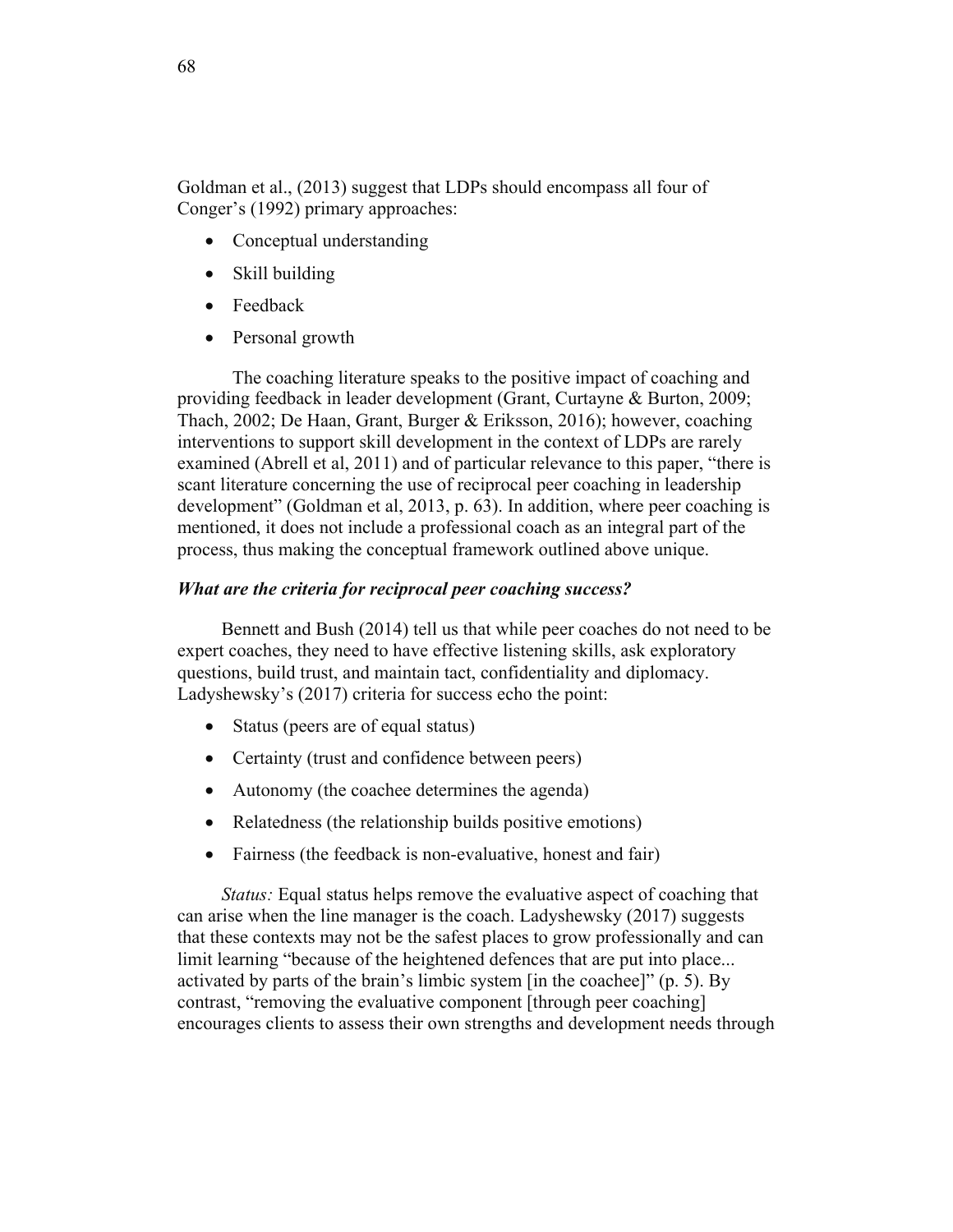Goldman et al., (2013) suggest that LDPs should encompass all four of Conger's (1992) primary approaches:

- Conceptual understanding
- Skill building
- Feedback
- Personal growth

The coaching literature speaks to the positive impact of coaching and providing feedback in leader development (Grant, Curtayne & Burton, 2009; Thach, 2002; De Haan, Grant, Burger & Eriksson, 2016); however, coaching interventions to support skill development in the context of LDPs are rarely examined (Abrell et al, 2011) and of particular relevance to this paper, "there is scant literature concerning the use of reciprocal peer coaching in leadership development" (Goldman et al, 2013, p. 63). In addition, where peer coaching is mentioned, it does not include a professional coach as an integral part of the process, thus making the conceptual framework outlined above unique.

# *What are the criteria for reciprocal peer coaching success?*

Bennett and Bush (2014) tell us that while peer coaches do not need to be expert coaches, they need to have effective listening skills, ask exploratory questions, build trust, and maintain tact, confidentiality and diplomacy. Ladyshewsky's (2017) criteria for success echo the point:

- Status (peers are of equal status)
- Certainty (trust and confidence between peers)
- Autonomy (the coachee determines the agenda)
- Relatedness (the relationship builds positive emotions)
- Fairness (the feedback is non-evaluative, honest and fair)

*Status:* Equal status helps remove the evaluative aspect of coaching that can arise when the line manager is the coach. Ladyshewsky (2017) suggests that these contexts may not be the safest places to grow professionally and can limit learning "because of the heightened defences that are put into place... activated by parts of the brain's limbic system [in the coachee]" (p. 5). By contrast, "removing the evaluative component [through peer coaching] encourages clients to assess their own strengths and development needs through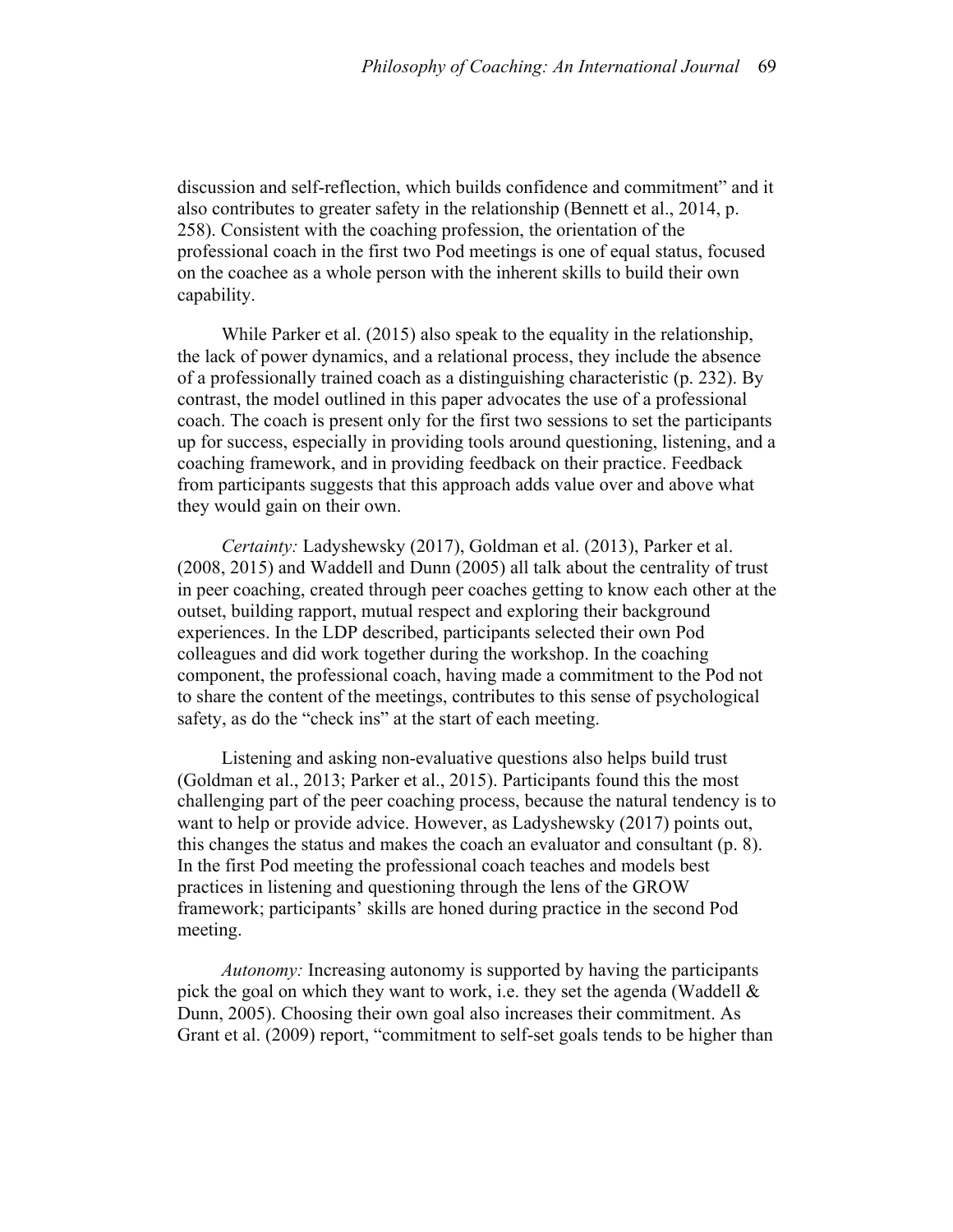discussion and self-reflection, which builds confidence and commitment" and it also contributes to greater safety in the relationship (Bennett et al., 2014, p. 258). Consistent with the coaching profession, the orientation of the professional coach in the first two Pod meetings is one of equal status, focused on the coachee as a whole person with the inherent skills to build their own capability.

While Parker et al. (2015) also speak to the equality in the relationship, the lack of power dynamics, and a relational process, they include the absence of a professionally trained coach as a distinguishing characteristic (p. 232). By contrast, the model outlined in this paper advocates the use of a professional coach. The coach is present only for the first two sessions to set the participants up for success, especially in providing tools around questioning, listening, and a coaching framework, and in providing feedback on their practice. Feedback from participants suggests that this approach adds value over and above what they would gain on their own.

*Certainty:* Ladyshewsky (2017), Goldman et al. (2013), Parker et al. (2008, 2015) and Waddell and Dunn (2005) all talk about the centrality of trust in peer coaching, created through peer coaches getting to know each other at the outset, building rapport, mutual respect and exploring their background experiences. In the LDP described, participants selected their own Pod colleagues and did work together during the workshop. In the coaching component, the professional coach, having made a commitment to the Pod not to share the content of the meetings, contributes to this sense of psychological safety, as do the "check ins" at the start of each meeting.

Listening and asking non-evaluative questions also helps build trust (Goldman et al., 2013; Parker et al., 2015). Participants found this the most challenging part of the peer coaching process, because the natural tendency is to want to help or provide advice. However, as Ladyshewsky (2017) points out, this changes the status and makes the coach an evaluator and consultant (p. 8). In the first Pod meeting the professional coach teaches and models best practices in listening and questioning through the lens of the GROW framework; participants' skills are honed during practice in the second Pod meeting.

*Autonomy:* Increasing autonomy is supported by having the participants pick the goal on which they want to work, i.e. they set the agenda (Waddell & Dunn, 2005). Choosing their own goal also increases their commitment. As Grant et al. (2009) report, "commitment to self-set goals tends to be higher than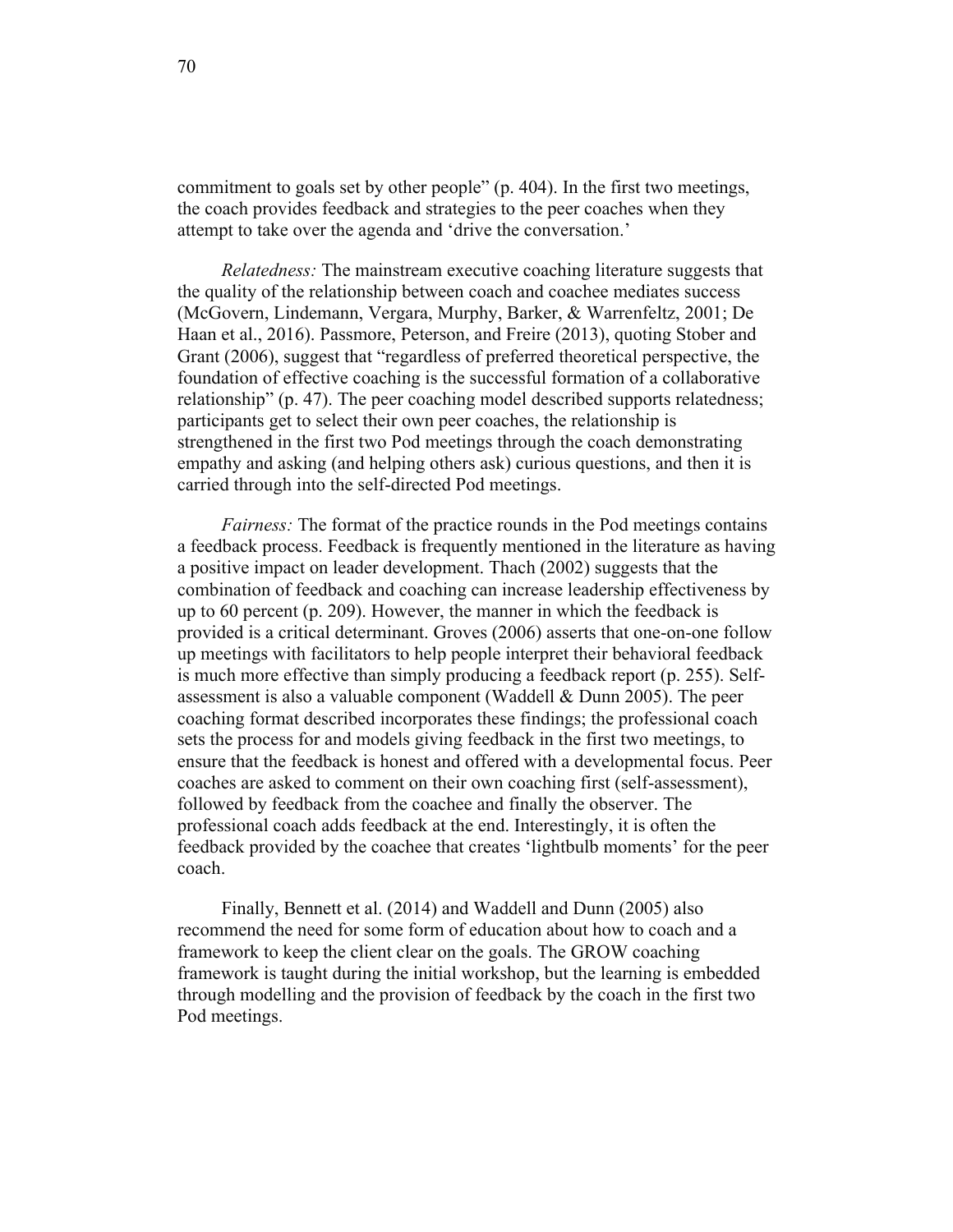commitment to goals set by other people" (p. 404). In the first two meetings, the coach provides feedback and strategies to the peer coaches when they attempt to take over the agenda and 'drive the conversation.'

*Relatedness:* The mainstream executive coaching literature suggests that the quality of the relationship between coach and coachee mediates success (McGovern, Lindemann, Vergara, Murphy, Barker, & Warrenfeltz, 2001; De Haan et al., 2016). Passmore, Peterson, and Freire (2013), quoting Stober and Grant (2006), suggest that "regardless of preferred theoretical perspective, the foundation of effective coaching is the successful formation of a collaborative relationship" (p. 47). The peer coaching model described supports relatedness; participants get to select their own peer coaches, the relationship is strengthened in the first two Pod meetings through the coach demonstrating empathy and asking (and helping others ask) curious questions, and then it is carried through into the self-directed Pod meetings.

*Fairness:* The format of the practice rounds in the Pod meetings contains a feedback process. Feedback is frequently mentioned in the literature as having a positive impact on leader development. Thach (2002) suggests that the combination of feedback and coaching can increase leadership effectiveness by up to 60 percent (p. 209). However, the manner in which the feedback is provided is a critical determinant. Groves (2006) asserts that one-on-one follow up meetings with facilitators to help people interpret their behavioral feedback is much more effective than simply producing a feedback report (p. 255). Selfassessment is also a valuable component (Waddell & Dunn 2005). The peer coaching format described incorporates these findings; the professional coach sets the process for and models giving feedback in the first two meetings, to ensure that the feedback is honest and offered with a developmental focus. Peer coaches are asked to comment on their own coaching first (self-assessment), followed by feedback from the coachee and finally the observer. The professional coach adds feedback at the end. Interestingly, it is often the feedback provided by the coachee that creates 'lightbulb moments' for the peer coach.

Finally, Bennett et al. (2014) and Waddell and Dunn (2005) also recommend the need for some form of education about how to coach and a framework to keep the client clear on the goals. The GROW coaching framework is taught during the initial workshop, but the learning is embedded through modelling and the provision of feedback by the coach in the first two Pod meetings.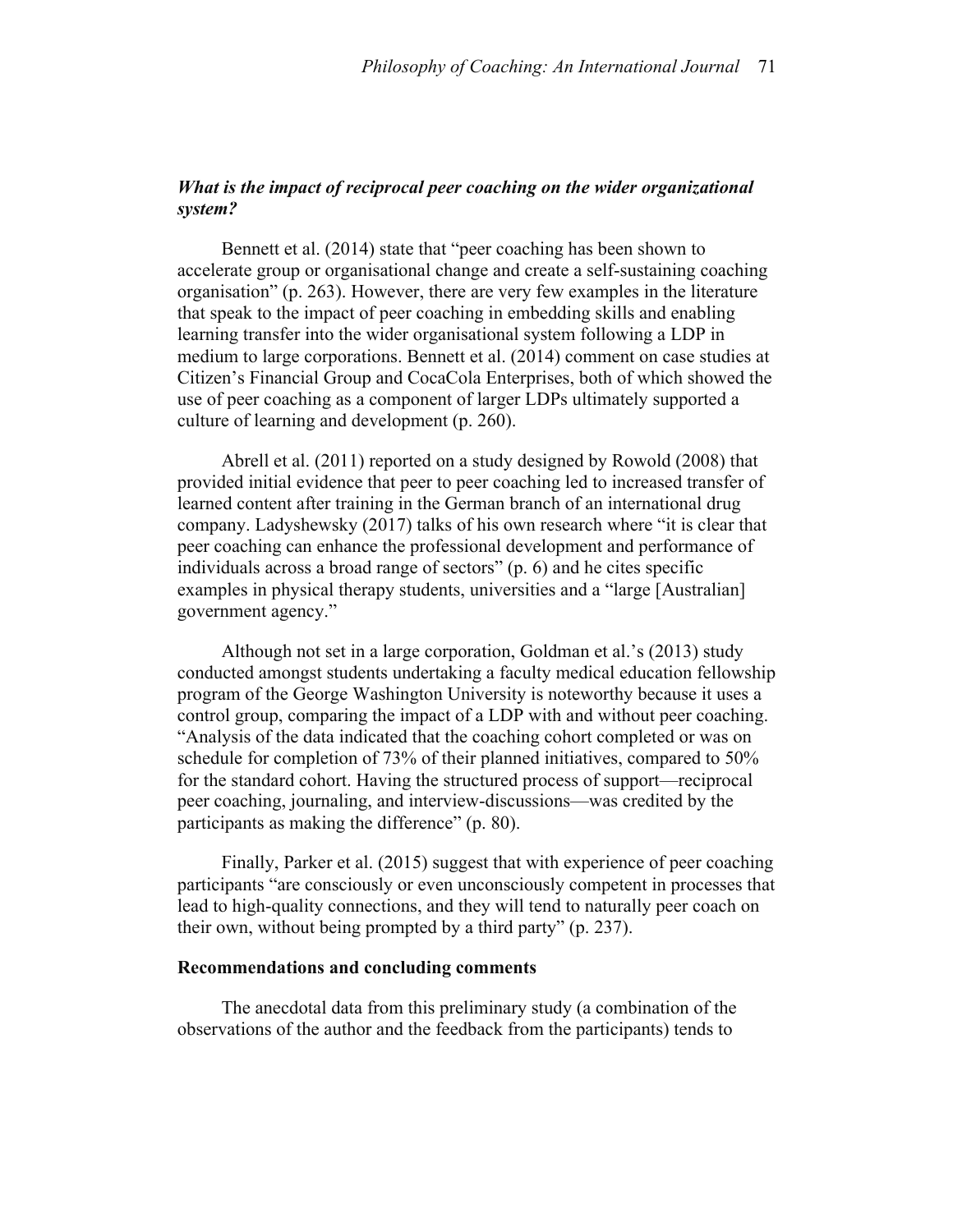# *What is the impact of reciprocal peer coaching on the wider organizational system?*

Bennett et al. (2014) state that "peer coaching has been shown to accelerate group or organisational change and create a self-sustaining coaching organisation" (p. 263). However, there are very few examples in the literature that speak to the impact of peer coaching in embedding skills and enabling learning transfer into the wider organisational system following a LDP in medium to large corporations. Bennett et al. (2014) comment on case studies at Citizen's Financial Group and CocaCola Enterprises, both of which showed the use of peer coaching as a component of larger LDPs ultimately supported a culture of learning and development (p. 260).

Abrell et al. (2011) reported on a study designed by Rowold (2008) that provided initial evidence that peer to peer coaching led to increased transfer of learned content after training in the German branch of an international drug company. Ladyshewsky (2017) talks of his own research where "it is clear that peer coaching can enhance the professional development and performance of individuals across a broad range of sectors" (p. 6) and he cites specific examples in physical therapy students, universities and a "large [Australian] government agency."

Although not set in a large corporation, Goldman et al.'s (2013) study conducted amongst students undertaking a faculty medical education fellowship program of the George Washington University is noteworthy because it uses a control group, comparing the impact of a LDP with and without peer coaching. "Analysis of the data indicated that the coaching cohort completed or was on schedule for completion of 73% of their planned initiatives, compared to 50% for the standard cohort. Having the structured process of support—reciprocal peer coaching, journaling, and interview-discussions—was credited by the participants as making the difference" (p. 80).

Finally, Parker et al. (2015) suggest that with experience of peer coaching participants "are consciously or even unconsciously competent in processes that lead to high-quality connections, and they will tend to naturally peer coach on their own, without being prompted by a third party" (p. 237).

# **Recommendations and concluding comments**

The anecdotal data from this preliminary study (a combination of the observations of the author and the feedback from the participants) tends to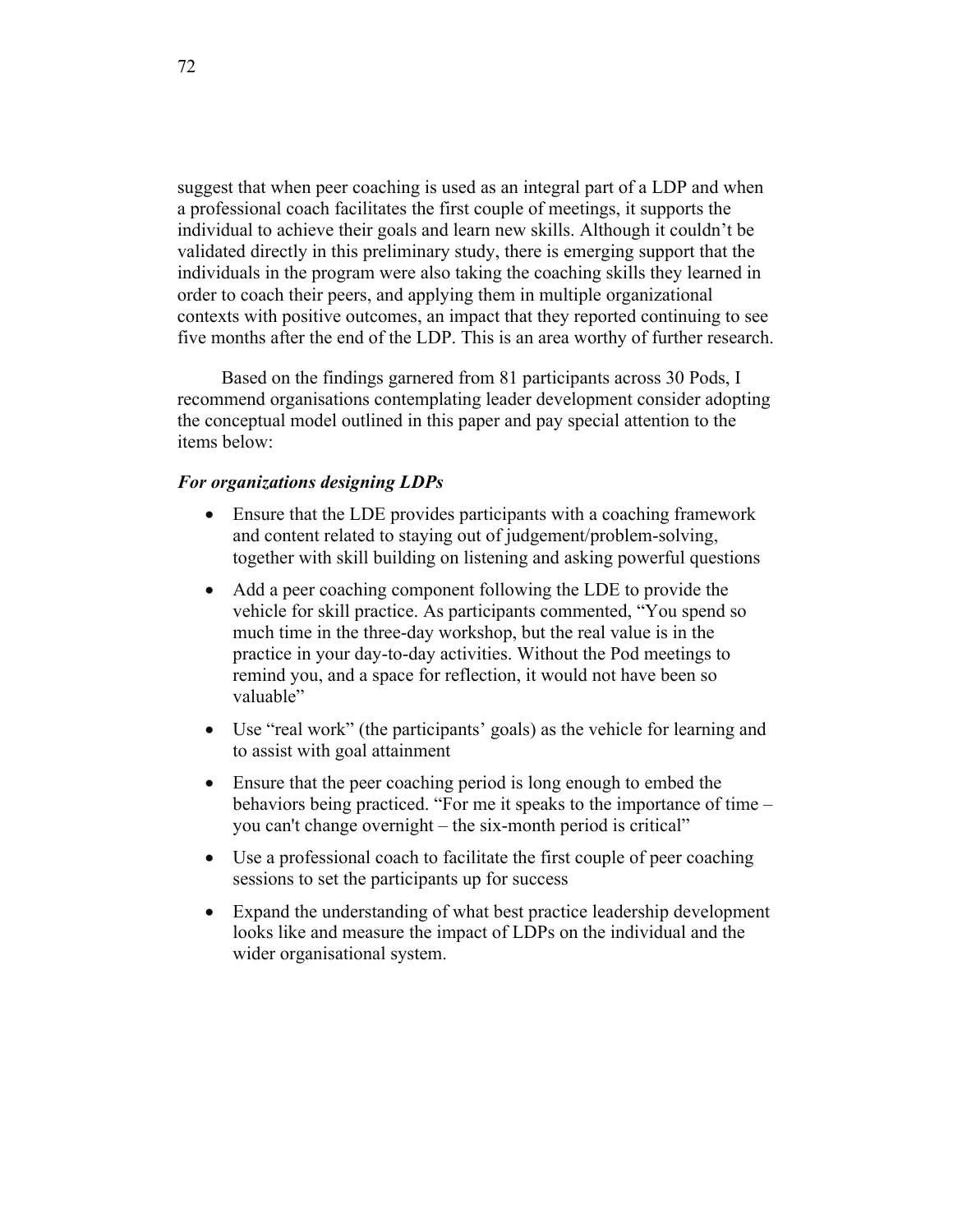suggest that when peer coaching is used as an integral part of a LDP and when a professional coach facilitates the first couple of meetings, it supports the individual to achieve their goals and learn new skills. Although it couldn't be validated directly in this preliminary study, there is emerging support that the individuals in the program were also taking the coaching skills they learned in order to coach their peers, and applying them in multiple organizational contexts with positive outcomes, an impact that they reported continuing to see five months after the end of the LDP. This is an area worthy of further research.

Based on the findings garnered from 81 participants across 30 Pods, I recommend organisations contemplating leader development consider adopting the conceptual model outlined in this paper and pay special attention to the items below:

# *For organizations designing LDPs*

- Ensure that the LDE provides participants with a coaching framework and content related to staying out of judgement/problem-solving, together with skill building on listening and asking powerful questions
- Add a peer coaching component following the LDE to provide the vehicle for skill practice. As participants commented, "You spend so much time in the three-day workshop, but the real value is in the practice in your day-to-day activities. Without the Pod meetings to remind you, and a space for reflection, it would not have been so valuable"
- Use "real work" (the participants' goals) as the vehicle for learning and to assist with goal attainment
- Ensure that the peer coaching period is long enough to embed the behaviors being practiced. "For me it speaks to the importance of time – you can't change overnight – the six-month period is critical"
- Use a professional coach to facilitate the first couple of peer coaching sessions to set the participants up for success
- Expand the understanding of what best practice leadership development looks like and measure the impact of LDPs on the individual and the wider organisational system.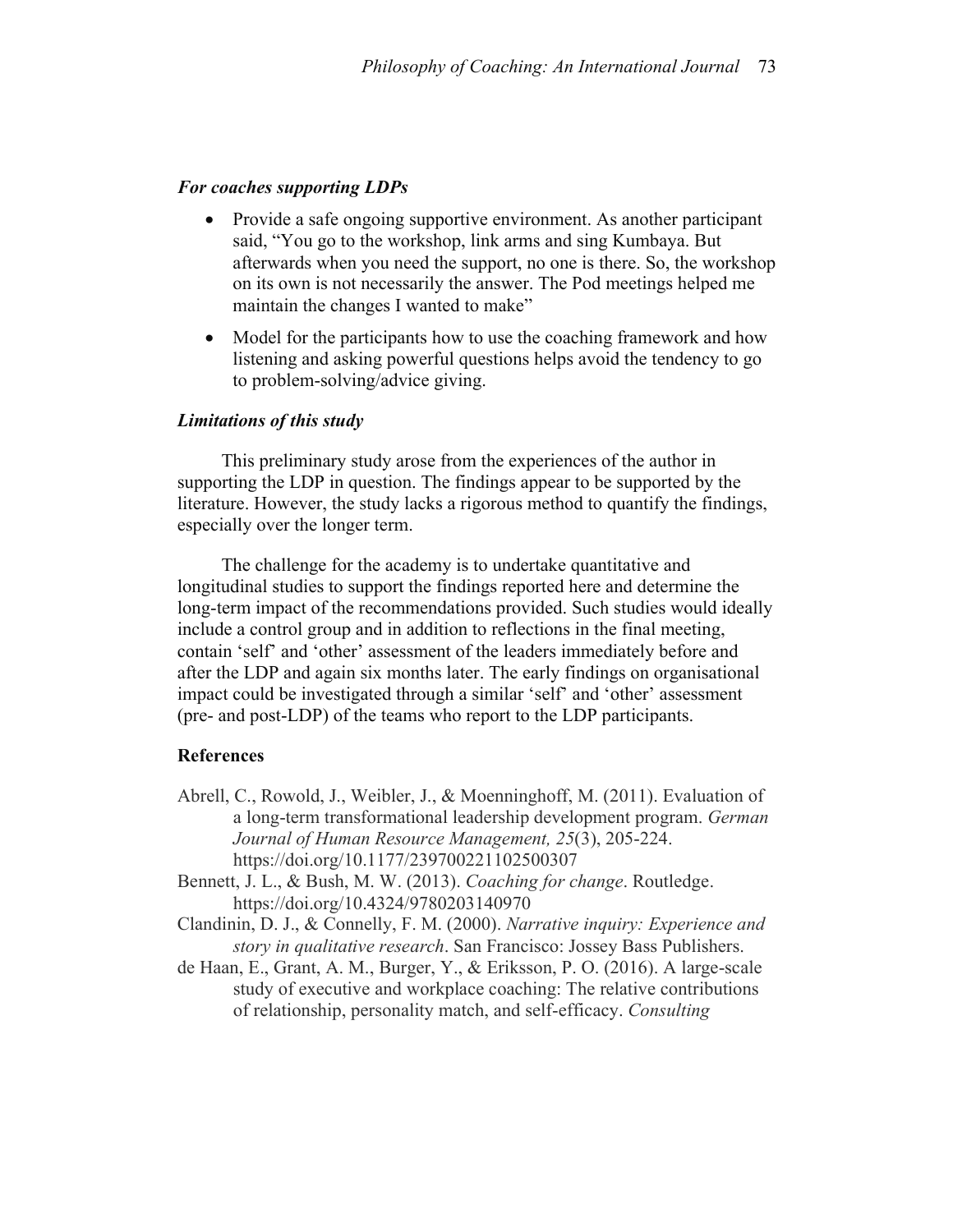# *For coaches supporting LDPs*

- Provide a safe ongoing supportive environment. As another participant said, "You go to the workshop, link arms and sing Kumbaya. But afterwards when you need the support, no one is there. So, the workshop on its own is not necessarily the answer. The Pod meetings helped me maintain the changes I wanted to make"
- Model for the participants how to use the coaching framework and how listening and asking powerful questions helps avoid the tendency to go to problem-solving/advice giving.

## *Limitations of this study*

This preliminary study arose from the experiences of the author in supporting the LDP in question. The findings appear to be supported by the literature. However, the study lacks a rigorous method to quantify the findings, especially over the longer term.

The challenge for the academy is to undertake quantitative and longitudinal studies to support the findings reported here and determine the long-term impact of the recommendations provided. Such studies would ideally include a control group and in addition to reflections in the final meeting, contain 'self' and 'other' assessment of the leaders immediately before and after the LDP and again six months later. The early findings on organisational impact could be investigated through a similar 'self' and 'other' assessment (pre- and post-LDP) of the teams who report to the LDP participants.

### **References**

- Abrell, C., Rowold, J., Weibler, J., & Moenninghoff, M. (2011). Evaluation of a long-term transformational leadership development program. *German Journal of Human Resource Management, 25*(3), 205-224. https://doi.org/10.1177/239700221102500307
- Bennett, J. L., & Bush, M. W. (2013). *Coaching for change*. Routledge. https://doi.org/10.4324/9780203140970
- Clandinin, D. J., & Connelly, F. M. (2000). *Narrative inquiry: Experience and story in qualitative research*. San Francisco: Jossey Bass Publishers.
- de Haan, E., Grant, A. M., Burger, Y., & Eriksson, P. O. (2016). A large-scale study of executive and workplace coaching: The relative contributions of relationship, personality match, and self-efficacy. *Consulting*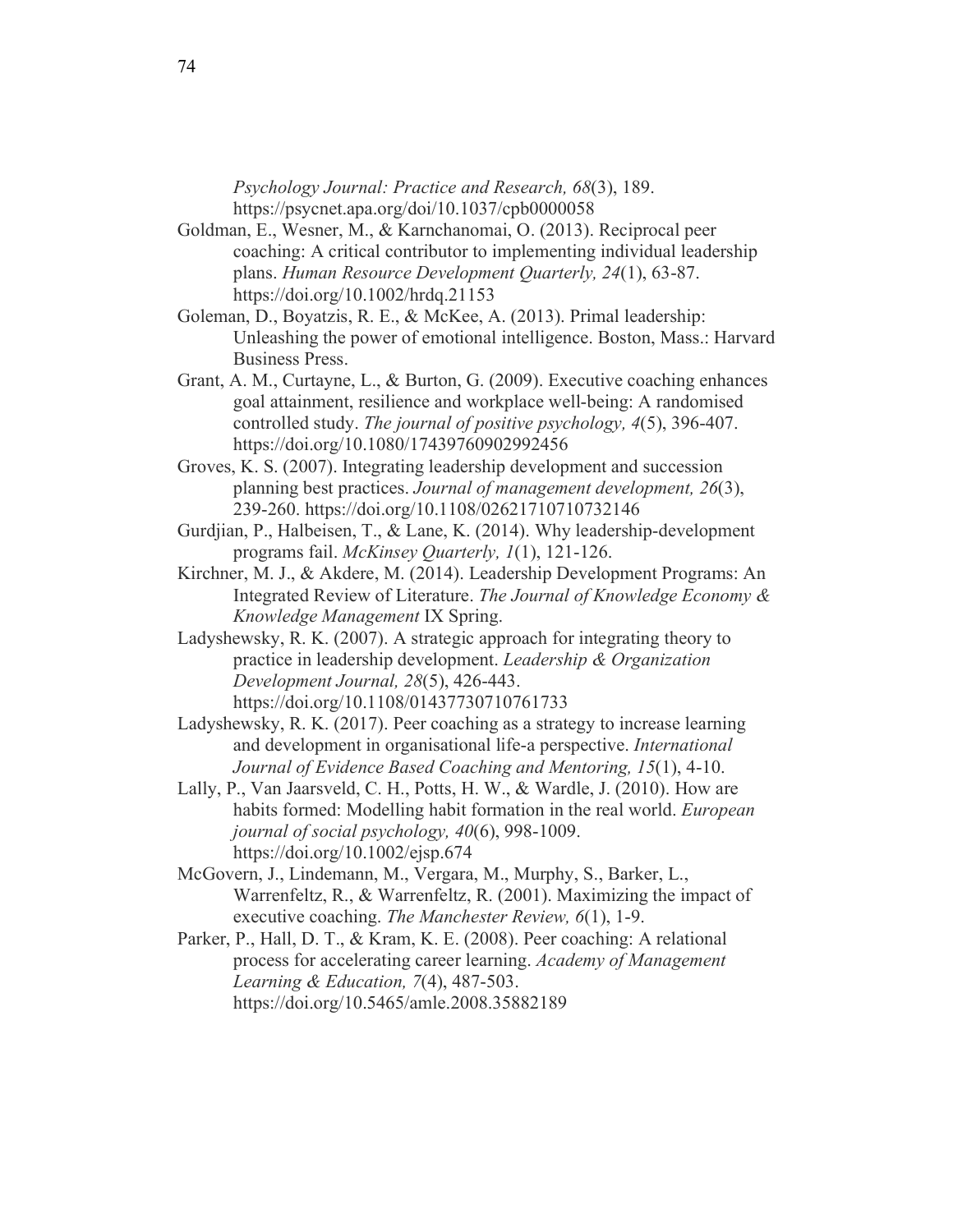*Psychology Journal: Practice and Research, 68*(3), 189. https://psycnet.apa.org/doi/10.1037/cpb0000058

- Goldman, E., Wesner, M., & Karnchanomai, O. (2013). Reciprocal peer coaching: A critical contributor to implementing individual leadership plans. *Human Resource Development Quarterly, 24*(1), 63-87. https://doi.org/10.1002/hrdq.21153
- Goleman, D., Boyatzis, R. E., & McKee, A. (2013). Primal leadership: Unleashing the power of emotional intelligence. Boston, Mass.: Harvard Business Press.
- Grant, A. M., Curtayne, L., & Burton, G. (2009). Executive coaching enhances goal attainment, resilience and workplace well-being: A randomised controlled study. *The journal of positive psychology, 4*(5), 396-407. https://doi.org/10.1080/17439760902992456
- Groves, K. S. (2007). Integrating leadership development and succession planning best practices. *Journal of management development, 26*(3), 239-260. https://doi.org/10.1108/02621710710732146
- Gurdjian, P., Halbeisen, T., & Lane, K. (2014). Why leadership-development programs fail. *McKinsey Quarterly, 1*(1), 121-126.
- Kirchner, M. J., & Akdere, M. (2014). Leadership Development Programs: An Integrated Review of Literature. *The Journal of Knowledge Economy & Knowledge Management* IX Spring.
- Ladyshewsky, R. K. (2007). A strategic approach for integrating theory to practice in leadership development. *Leadership & Organization Development Journal, 28*(5), 426-443. https://doi.org/10.1108/01437730710761733
- Ladyshewsky, R. K. (2017). Peer coaching as a strategy to increase learning and development in organisational life-a perspective. *International Journal of Evidence Based Coaching and Mentoring, 15*(1), 4-10.
- Lally, P., Van Jaarsveld, C. H., Potts, H. W., & Wardle, J. (2010). How are habits formed: Modelling habit formation in the real world. *European journal of social psychology, 40*(6), 998-1009. https://doi.org/10.1002/ejsp.674
- McGovern, J., Lindemann, M., Vergara, M., Murphy, S., Barker, L., Warrenfeltz, R., & Warrenfeltz, R. (2001). Maximizing the impact of executive coaching. *The Manchester Review, 6*(1), 1-9.
- Parker, P., Hall, D. T., & Kram, K. E. (2008). Peer coaching: A relational process for accelerating career learning. *Academy of Management Learning & Education, 7*(4), 487-503. https://doi.org/10.5465/amle.2008.35882189